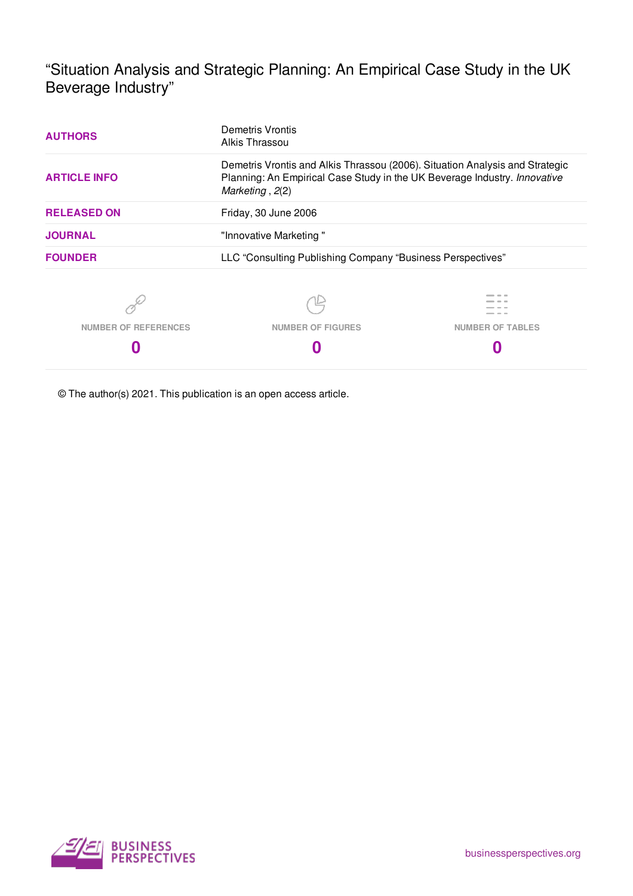"Situation Analysis and Strategic Planning: An Empirical Case Study in the UK Beverage Industry"

| <b>AUTHORS</b>              | Demetris Vrontis<br>Alkis Thrassou                                                                                                                                           |                         |  |  |  |  |  |  |
|-----------------------------|------------------------------------------------------------------------------------------------------------------------------------------------------------------------------|-------------------------|--|--|--|--|--|--|
| <b>ARTICLE INFO</b>         | Demetris Vrontis and Alkis Thrassou (2006). Situation Analysis and Strategic<br>Planning: An Empirical Case Study in the UK Beverage Industry. Innovative<br>Marketing, 2(2) |                         |  |  |  |  |  |  |
| <b>RELEASED ON</b>          | Friday, 30 June 2006                                                                                                                                                         |                         |  |  |  |  |  |  |
| <b>JOURNAL</b>              | "Innovative Marketing"                                                                                                                                                       |                         |  |  |  |  |  |  |
| <b>FOUNDER</b>              | LLC "Consulting Publishing Company "Business Perspectives"                                                                                                                   |                         |  |  |  |  |  |  |
|                             |                                                                                                                                                                              |                         |  |  |  |  |  |  |
| <b>NUMBER OF REFERENCES</b> | <b>NUMBER OF FIGURES</b>                                                                                                                                                     | <b>NUMBER OF TABLES</b> |  |  |  |  |  |  |
|                             |                                                                                                                                                                              |                         |  |  |  |  |  |  |

© The author(s) 2021. This publication is an open access article.

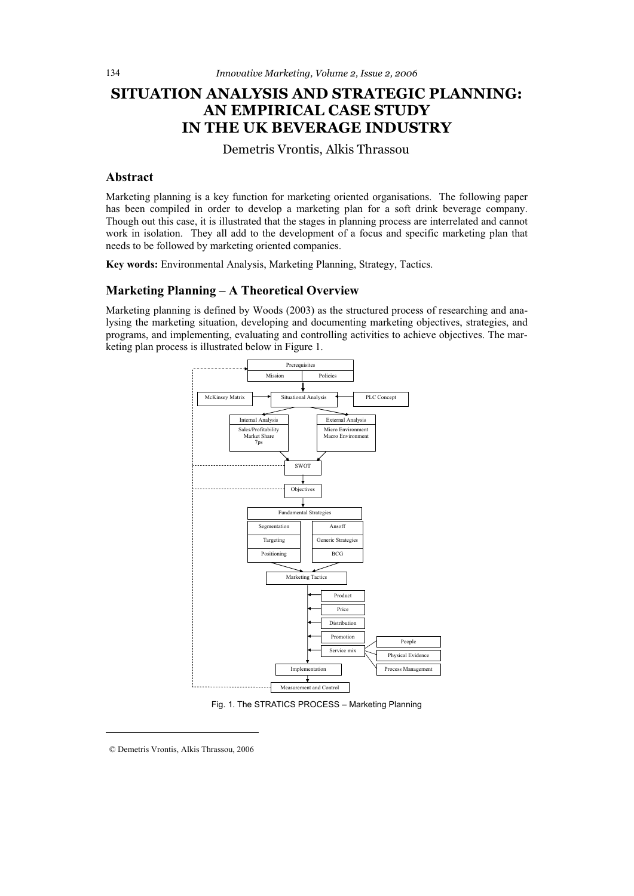# **SITUATION ANALYSIS AND STRATEGIC PLANNING: AN EMPIRICAL CASE STUDY IN THE UK BEVERAGE INDUSTRY**

Demetris Vrontis, Alkis Thrassou

## **Abstract**

Marketing planning is a key function for marketing oriented organisations. The following paper has been compiled in order to develop a marketing plan for a soft drink beverage company. Though out this case, it is illustrated that the stages in planning process are interrelated and cannot work in isolation. They all add to the development of a focus and specific marketing plan that needs to be followed by marketing oriented companies.

**Key words:** Environmental Analysis, Marketing Planning, Strategy, Tactics.

## **Marketing Planning – A Theoretical Overview**

Marketing planning is defined by Woods (2003) as the structured process of researching and analysing the marketing situation, developing and documenting marketing objectives, strategies, and programs, and implementing, evaluating and controlling activities to achieve objectives. The marketing plan process is illustrated below in Figure 1.



Fig. 1. The STRATICS PROCESS – Marketing Planning

© Demetris Vrontis, Alkis Thrassou, 2006

 $\overline{a}$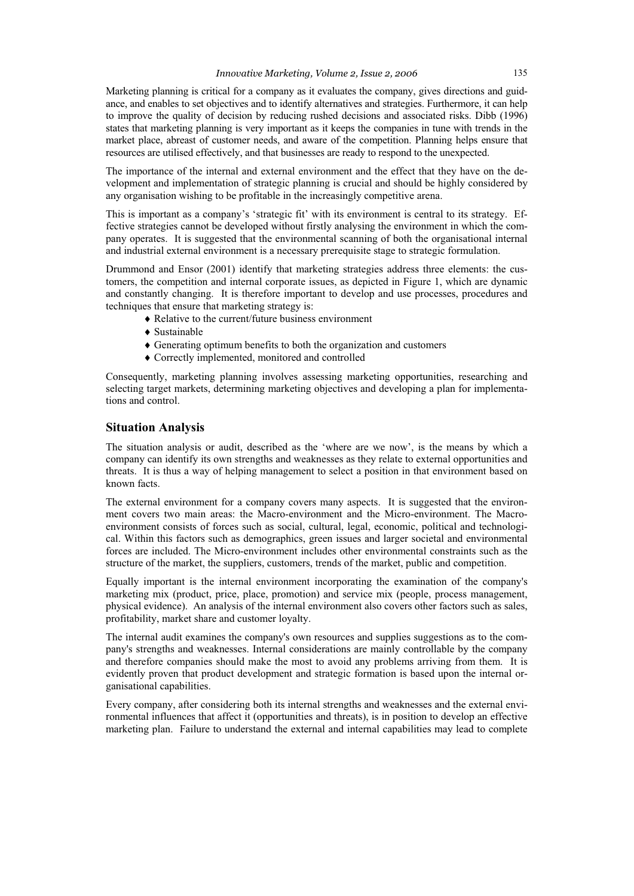Marketing planning is critical for a company as it evaluates the company, gives directions and guidance, and enables to set objectives and to identify alternatives and strategies. Furthermore, it can help to improve the quality of decision by reducing rushed decisions and associated risks. Dibb (1996) states that marketing planning is very important as it keeps the companies in tune with trends in the market place, abreast of customer needs, and aware of the competition. Planning helps ensure that resources are utilised effectively, and that businesses are ready to respond to the unexpected.

The importance of the internal and external environment and the effect that they have on the development and implementation of strategic planning is crucial and should be highly considered by any organisation wishing to be profitable in the increasingly competitive arena.

This is important as a company's 'strategic fit' with its environment is central to its strategy. Effective strategies cannot be developed without firstly analysing the environment in which the company operates. It is suggested that the environmental scanning of both the organisational internal and industrial external environment is a necessary prerequisite stage to strategic formulation.

Drummond and Ensor (2001) identify that marketing strategies address three elements: the customers, the competition and internal corporate issues, as depicted in Figure 1, which are dynamic and constantly changing. It is therefore important to develop and use processes, procedures and techniques that ensure that marketing strategy is:

- $\bullet$  Relative to the current/future business environment
- $\triangle$  Sustainable
- $\triangle$  Generating optimum benefits to both the organization and customers
- $\triangle$  Correctly implemented, monitored and controlled

Consequently, marketing planning involves assessing marketing opportunities, researching and selecting target markets, determining marketing objectives and developing a plan for implementations and control.

## **Situation Analysis**

The situation analysis or audit, described as the 'where are we now', is the means by which a company can identify its own strengths and weaknesses as they relate to external opportunities and threats. It is thus a way of helping management to select a position in that environment based on known facts.

The external environment for a company covers many aspects. It is suggested that the environment covers two main areas: the Macro-environment and the Micro-environment. The Macroenvironment consists of forces such as social, cultural, legal, economic, political and technological. Within this factors such as demographics, green issues and larger societal and environmental forces are included. The Micro-environment includes other environmental constraints such as the structure of the market, the suppliers, customers, trends of the market, public and competition.

Equally important is the internal environment incorporating the examination of the company's marketing mix (product, price, place, promotion) and service mix (people, process management, physical evidence). An analysis of the internal environment also covers other factors such as sales, profitability, market share and customer loyalty.

The internal audit examines the company's own resources and supplies suggestions as to the company's strengths and weaknesses. Internal considerations are mainly controllable by the company and therefore companies should make the most to avoid any problems arriving from them. It is evidently proven that product development and strategic formation is based upon the internal organisational capabilities.

Every company, after considering both its internal strengths and weaknesses and the external environmental influences that affect it (opportunities and threats), is in position to develop an effective marketing plan. Failure to understand the external and internal capabilities may lead to complete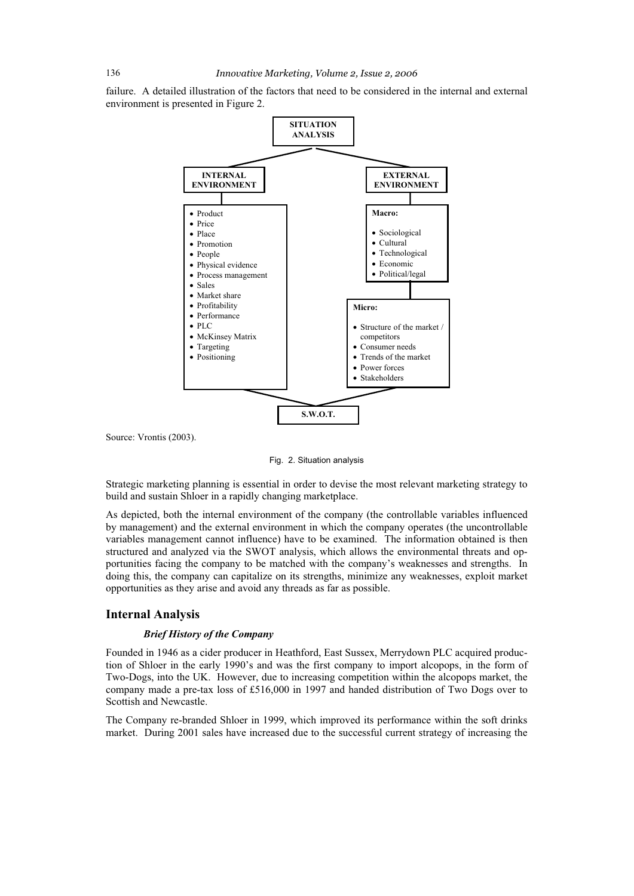failure. A detailed illustration of the factors that need to be considered in the internal and external environment is presented in Figure 2.



Source: Vrontis (2003).

Fig. 2. Situation analysis

Strategic marketing planning is essential in order to devise the most relevant marketing strategy to build and sustain Shloer in a rapidly changing marketplace.

As depicted, both the internal environment of the company (the controllable variables influenced by management) and the external environment in which the company operates (the uncontrollable variables management cannot influence) have to be examined. The information obtained is then structured and analyzed via the SWOT analysis, which allows the environmental threats and opportunities facing the company to be matched with the company's weaknesses and strengths. In doing this, the company can capitalize on its strengths, minimize any weaknesses, exploit market opportunities as they arise and avoid any threads as far as possible.

## **Internal Analysis**

## *Brief History of the Company*

Founded in 1946 as a cider producer in Heathford, East Sussex, Merrydown PLC acquired production of Shloer in the early 1990's and was the first company to import alcopops, in the form of Two-Dogs, into the UK. However, due to increasing competition within the alcopops market, the company made a pre-tax loss of £516,000 in 1997 and handed distribution of Two Dogs over to Scottish and Newcastle.

The Company re-branded Shloer in 1999, which improved its performance within the soft drinks market. During 2001 sales have increased due to the successful current strategy of increasing the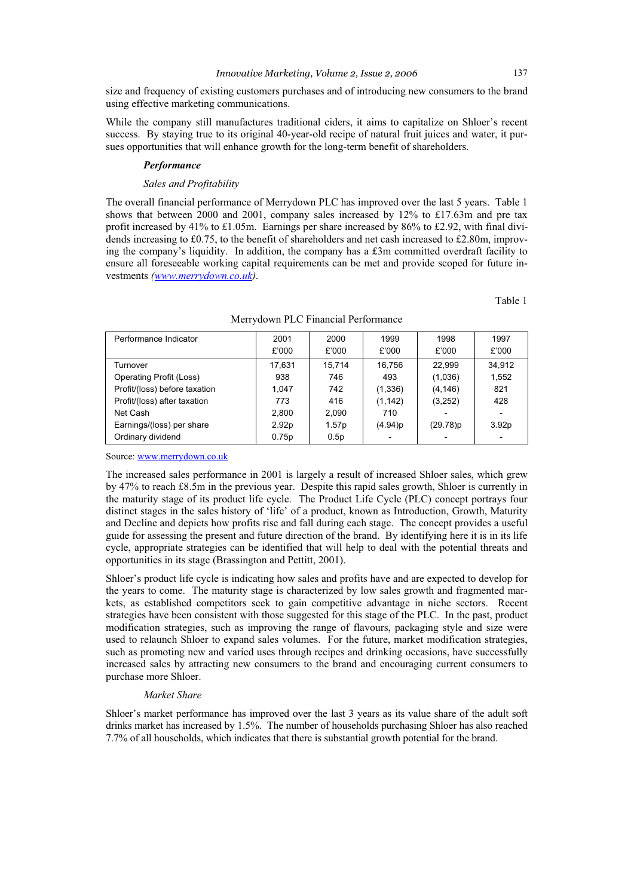size and frequency of existing customers purchases and of introducing new consumers to the brand using effective marketing communications.

While the company still manufactures traditional ciders, it aims to capitalize on Shloer's recent success. By staying true to its original 40-year-old recipe of natural fruit juices and water, it pursues opportunities that will enhance growth for the long-term benefit of shareholders.

#### *Performance*

#### *Sales and Profitability*

The overall financial performance of Merrydown PLC has improved over the last 5 years. Table 1 shows that between 2000 and 2001, company sales increased by  $12\%$  to £17.63m and pre tax profit increased by 41% to £1.05m. Earnings per share increased by 86% to £2.92, with final dividends increasing to £0.75, to the benefit of shareholders and net cash increased to £2.80m, improving the company's liquidity. In addition, the company has a  $£3m$  committed overdraft facility to ensure all foreseeable working capital requirements can be met and provide scoped for future investments *(www.merrydown.co.uk)*.

Table 1

| Performance Indicator         | 2001              | 2000   | 1999       |          | 1997              |
|-------------------------------|-------------------|--------|------------|----------|-------------------|
|                               | £'000             | £'000  | £'000      | £'000    | £'000             |
| Turnover                      | 17.631            | 15.714 | 16.756     | 22.999   | 34.912            |
| Operating Profit (Loss)       | 938               | 746    | 493        | (1,036)  | 1.552             |
| Profit/(loss) before taxation | 1.047             | 742    | (1,336)    | (4, 146) | 821               |
| Profit/(loss) after taxation  | 773               | 416    | (1, 142)   | (3,252)  | 428               |
| Net Cash                      | 2.800             | 2.090  | 710        |          |                   |
| Earnings/(loss) per share     | 2.92 <sub>p</sub> | 1.57p  | $(4.94)$ p | (29.78)p | 3.92 <sub>p</sub> |
| Ordinary dividend             | 0.75p             | 0.5p   |            |          |                   |

Merrydown PLC Financial Performance

Source: www.merrydown.co.uk

The increased sales performance in 2001 is largely a result of increased Shloer sales, which grew by 47% to reach £8.5m in the previous year. Despite this rapid sales growth, Shloer is currently in the maturity stage of its product life cycle. The Product Life Cycle (PLC) concept portrays four distinct stages in the sales history of 'life' of a product, known as Introduction, Growth, Maturity and Decline and depicts how profits rise and fall during each stage. The concept provides a useful guide for assessing the present and future direction of the brand. By identifying here it is in its life cycle, appropriate strategies can be identified that will help to deal with the potential threats and opportunities in its stage (Brassington and Pettitt, 2001).

Shloer's product life cycle is indicating how sales and profits have and are expected to develop for the years to come. The maturity stage is characterized by low sales growth and fragmented markets, as established competitors seek to gain competitive advantage in niche sectors. Recent strategies have been consistent with those suggested for this stage of the PLC. In the past, product modification strategies, such as improving the range of flavours, packaging style and size were used to relaunch Shloer to expand sales volumes. For the future, market modification strategies, such as promoting new and varied uses through recipes and drinking occasions, have successfully increased sales by attracting new consumers to the brand and encouraging current consumers to purchase more Shloer.

## *Market Share*

Shloer's market performance has improved over the last 3 years as its value share of the adult soft drinks market has increased by 1.5%. The number of households purchasing Shloer has also reached 7.7% of all households, which indicates that there is substantial growth potential for the brand.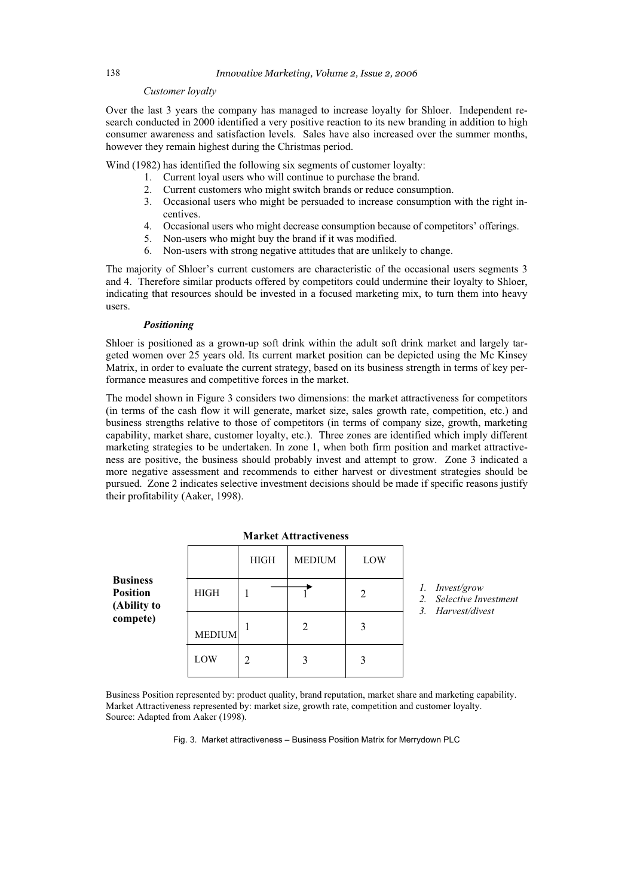## *Customer loyalty*

Over the last 3 years the company has managed to increase loyalty for Shloer. Independent research conducted in 2000 identified a very positive reaction to its new branding in addition to high consumer awareness and satisfaction levels. Sales have also increased over the summer months, however they remain highest during the Christmas period.

Wind (1982) has identified the following six segments of customer loyalty:

- 1. Current loyal users who will continue to purchase the brand.
	- 2. Current customers who might switch brands or reduce consumption.
	- 3. Occasional users who might be persuaded to increase consumption with the right incentives.
	- 4. Occasional users who might decrease consumption because of competitors' offerings.
	- 5. Non-users who might buy the brand if it was modified.
	- 6. Non-users with strong negative attitudes that are unlikely to change.

The majority of Shloer's current customers are characteristic of the occasional users segments 3 and 4. Therefore similar products offered by competitors could undermine their loyalty to Shloer, indicating that resources should be invested in a focused marketing mix, to turn them into heavy users.

## *Positioning*

Shloer is positioned as a grown-up soft drink within the adult soft drink market and largely targeted women over 25 years old. Its current market position can be depicted using the Mc Kinsey Matrix, in order to evaluate the current strategy, based on its business strength in terms of key performance measures and competitive forces in the market.

The model shown in Figure 3 considers two dimensions: the market attractiveness for competitors (in terms of the cash flow it will generate, market size, sales growth rate, competition, etc.) and business strengths relative to those of competitors (in terms of company size, growth, marketing capability, market share, customer loyalty, etc.). Three zones are identified which imply different marketing strategies to be undertaken. In zone 1, when both firm position and market attractiveness are positive, the business should probably invest and attempt to grow. Zone 3 indicated a more negative assessment and recommends to either harvest or divestment strategies should be pursued. Zone 2 indicates selective investment decisions should be made if specific reasons justify their profitability (Aaker, 1998).

**Market Attractiveness**

|                                                   |               | <b>HIGH</b>    | <b>MEDIUM</b>               | LOW |
|---------------------------------------------------|---------------|----------------|-----------------------------|-----|
| <b>Business</b><br><b>Position</b><br>(Ability to | <b>HIGH</b>   |                |                             |     |
| compete)                                          | <b>MEDIUM</b> |                | $\mathcal{D}_{\mathcal{A}}$ |     |
|                                                   | LOW           | $\mathfrak{D}$ |                             |     |

*1. Invest/grow* 

- *2. Selective Investment*
- *3. Harvest/divest*

Business Position represented by: product quality, brand reputation, market share and marketing capability. Market Attractiveness represented by: market size, growth rate, competition and customer loyalty. Source: Adapted from Aaker (1998).

Fig. 3. Market attractiveness – Business Position Matrix for Merrydown PLC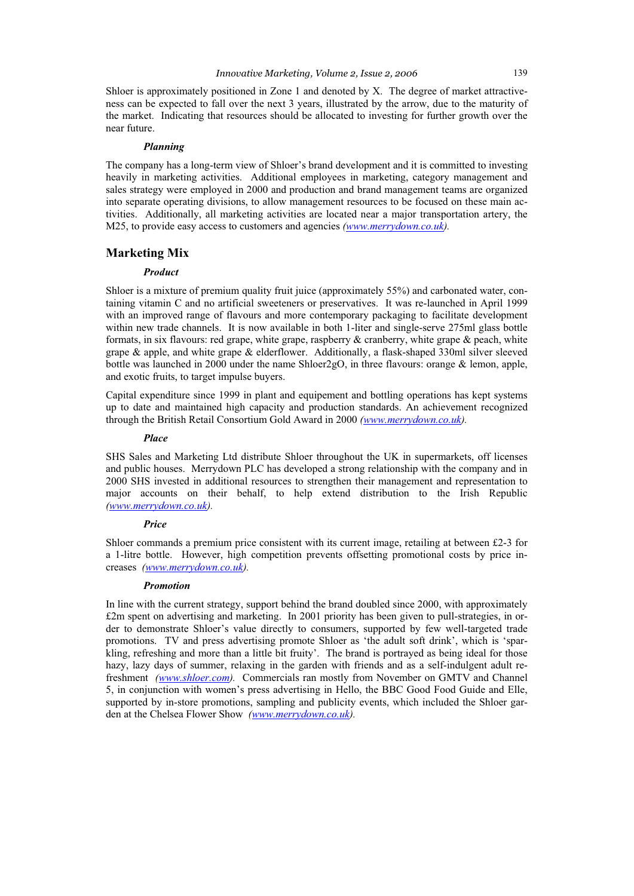Shloer is approximately positioned in Zone 1 and denoted by X. The degree of market attractiveness can be expected to fall over the next 3 years, illustrated by the arrow, due to the maturity of the market. Indicating that resources should be allocated to investing for further growth over the near future.

## *Planning*

The company has a long-term view of Shloer's brand development and it is committed to investing heavily in marketing activities. Additional employees in marketing, category management and sales strategy were employed in 2000 and production and brand management teams are organized into separate operating divisions, to allow management resources to be focused on these main activities. Additionally, all marketing activities are located near a major transportation artery, the M25, to provide easy access to customers and agencies *(www.merrydown.co.uk).* 

## **Marketing Mix**

## *Product*

Shloer is a mixture of premium quality fruit juice (approximately 55%) and carbonated water, containing vitamin C and no artificial sweeteners or preservatives. It was re-launched in April 1999 with an improved range of flavours and more contemporary packaging to facilitate development within new trade channels. It is now available in both 1-liter and single-serve 275ml glass bottle formats, in six flavours: red grape, white grape, raspberry  $\&$  cranberry, white grape  $\&$  peach, white grape & apple, and white grape & elderflower. Additionally, a flask-shaped 330ml silver sleeved bottle was launched in 2000 under the name Shloer2gO, in three flavours: orange & lemon, apple, and exotic fruits, to target impulse buyers.

Capital expenditure since 1999 in plant and equipement and bottling operations has kept systems up to date and maintained high capacity and production standards. An achievement recognized through the British Retail Consortium Gold Award in 2000 *(www.merrydown.co.uk).*

## *Place*

SHS Sales and Marketing Ltd distribute Shloer throughout the UK in supermarkets, off licenses and public houses. Merrydown PLC has developed a strong relationship with the company and in 2000 SHS invested in additional resources to strengthen their management and representation to major accounts on their behalf, to help extend distribution to the Irish Republic *(www.merrydown.co.uk).*

## *Price*

Shloer commands a premium price consistent with its current image, retailing at between £2-3 for a 1-litre bottle. However, high competition prevents offsetting promotional costs by price increases *(www.merrydown.co.uk).*

#### *Promotion*

In line with the current strategy, support behind the brand doubled since 2000, with approximately £2m spent on advertising and marketing. In 2001 priority has been given to pull-strategies, in order to demonstrate Shloer's value directly to consumers, supported by few well-targeted trade promotions. TV and press advertising promote Shloer as 'the adult soft drink', which is 'sparkling, refreshing and more than a little bit fruity'. The brand is portrayed as being ideal for those hazy, lazy days of summer, relaxing in the garden with friends and as a self-indulgent adult refreshment *(www.shloer.com).* Commercials ran mostly from November on GMTV and Channel 5, in conjunction with women's press advertising in Hello, the BBC Good Food Guide and Elle, supported by in-store promotions, sampling and publicity events, which included the Shloer garden at the Chelsea Flower Show *(www.merrydown.co.uk).*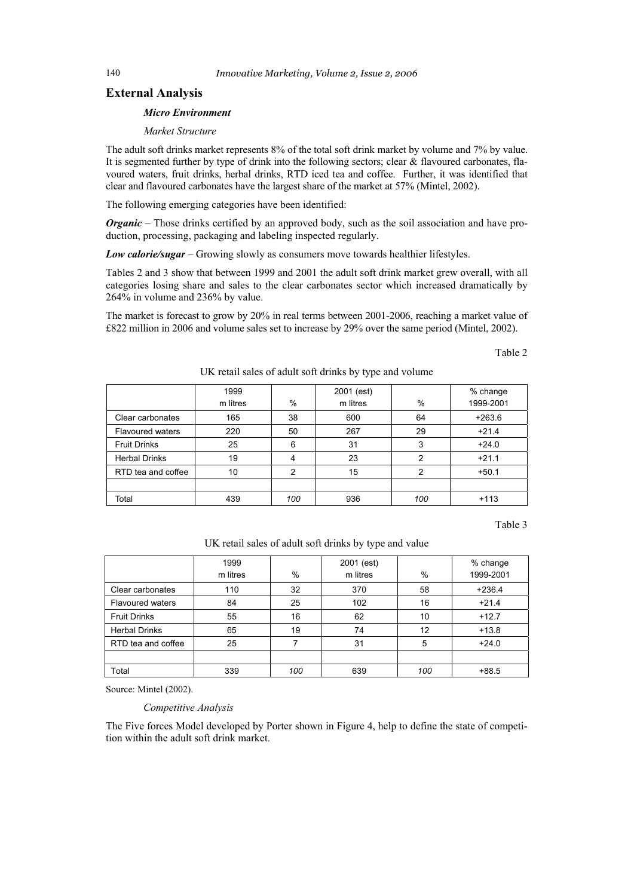## **External Analysis**

## *Micro Environment*

*Market Structure* 

The adult soft drinks market represents 8% of the total soft drink market by volume and 7% by value. It is segmented further by type of drink into the following sectors; clear  $&$  flavoured carbonates, flavoured waters, fruit drinks, herbal drinks, RTD iced tea and coffee. Further, it was identified that clear and flavoured carbonates have the largest share of the market at 57% (Mintel, 2002).

The following emerging categories have been identified:

*Organic* – Those drinks certified by an approved body, such as the soil association and have production, processing, packaging and labeling inspected regularly.

*Low calorie/sugar* – Growing slowly as consumers move towards healthier lifestyles.

Tables 2 and 3 show that between 1999 and 2001 the adult soft drink market grew overall, with all categories losing share and sales to the clear carbonates sector which increased dramatically by 264% in volume and 236% by value.

The market is forecast to grow by 20% in real terms between 2001-2006, reaching a market value of £822 million in 2006 and volume sales set to increase by 29% over the same period (Mintel, 2002).

Table 2

|                         | 1999<br>m litres | $\%$ | 2001 (est)<br>m litres | %             | % change<br>1999-2001 |
|-------------------------|------------------|------|------------------------|---------------|-----------------------|
| Clear carbonates        | 165              | 38   | 600                    | 64            | $+263.6$              |
| <b>Flavoured waters</b> | 220              | 50   | 267                    | 29            | $+21.4$               |
| <b>Fruit Drinks</b>     | 25               | 6    | 31                     | 3             | $+24.0$               |
| <b>Herbal Drinks</b>    | 19               | 4    | 23                     | $\mathcal{P}$ | $+21.1$               |
| RTD tea and coffee      | 10               | 2    | 15                     | $\mathcal{P}$ | $+50.1$               |
|                         |                  |      |                        |               |                       |
| Total                   | 439              | 100  | 936                    | 100           | $+113$                |

UK retail sales of adult soft drinks by type and volume

Table 3

UK retail sales of adult soft drinks by type and value

|                         | 1999     |               | 2001 (est) |      | % change  |
|-------------------------|----------|---------------|------------|------|-----------|
|                         | m litres | $\frac{0}{0}$ | m litres   | $\%$ | 1999-2001 |
| Clear carbonates        | 110      | 32            | 370        | 58   | $+236.4$  |
| <b>Flavoured waters</b> | 84       | 25            | 102        | 16   | $+21.4$   |
| <b>Fruit Drinks</b>     | 55       | 16            | 62         | 10   | $+12.7$   |
| <b>Herbal Drinks</b>    | 65       | 19            | 74         | 12   | $+13.8$   |
| RTD tea and coffee      | 25       |               | 31         | 5    | $+24.0$   |
|                         |          |               |            |      |           |
| Total                   | 339      | 100           | 639        | 100  | $+88.5$   |

Source: Mintel (2002).

*Competitive Analysis* 

The Five forces Model developed by Porter shown in Figure 4, help to define the state of competition within the adult soft drink market.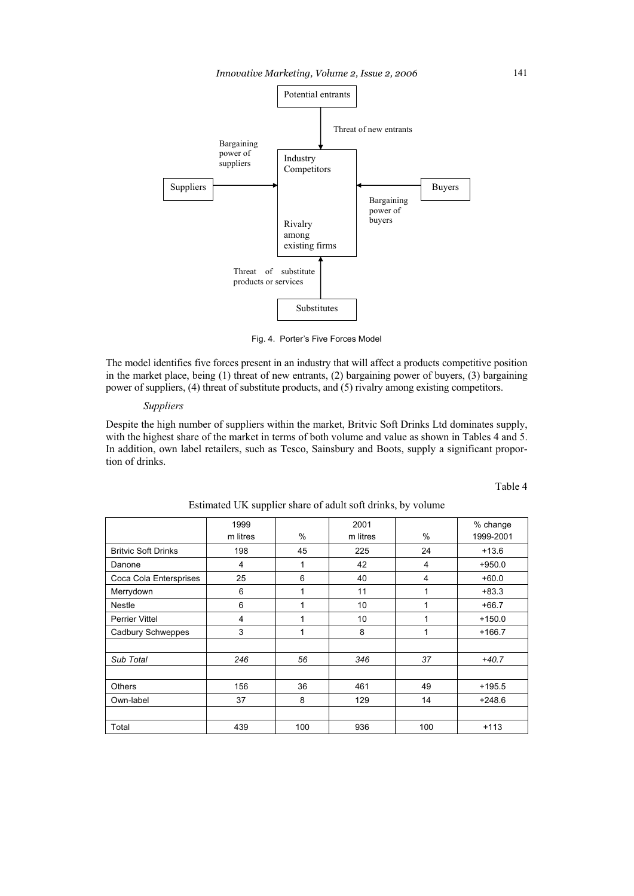

Fig. 4. Porter's Five Forces Model

The model identifies five forces present in an industry that will affect a products competitive position in the market place, being (1) threat of new entrants, (2) bargaining power of buyers, (3) bargaining power of suppliers, (4) threat of substitute products, and (5) rivalry among existing competitors.

## *Suppliers*

Despite the high number of suppliers within the market, Britvic Soft Drinks Ltd dominates supply, with the highest share of the market in terms of both volume and value as shown in Tables 4 and 5. In addition, own label retailers, such as Tesco, Sainsbury and Boots, supply a significant proportion of drinks.

Table 4

|                            | 1999<br>2001 |      |          | % change          |          |
|----------------------------|--------------|------|----------|-------------------|----------|
|                            | m litres     | $\%$ | m litres | $\%$<br>1999-2001 |          |
| <b>Britvic Soft Drinks</b> | 198          | 45   |          | 24                | $+13.6$  |
| Danone                     | 4            | 1    | 42       | 4                 | $+950.0$ |
| Coca Cola Entersprises     | 25           | 6    | 40       | 4                 | $+60.0$  |
| Merrydown                  | 6            | 1    | 11       | 1                 | $+83.3$  |
| <b>Nestle</b>              | 6            | 1    | 10       | 1                 | $+66.7$  |
| <b>Perrier Vittel</b>      | 4            | 1    | 10       | 1                 | $+150.0$ |
| Cadbury Schweppes          | 3            | 1    | 8        | 1                 | $+166.7$ |
|                            |              |      |          |                   |          |
| Sub Total                  | 246          | 56   | 346      | 37                | $+40.7$  |
|                            |              |      |          |                   |          |
| <b>Others</b>              | 156          | 36   | 461      | 49                | $+195.5$ |
| Own-label                  | 37           | 8    | 129      | 14                | $+248.6$ |
|                            |              |      |          |                   |          |
| Total                      | 439          | 100  | 936      | 100               | $+113$   |

Estimated UK supplier share of adult soft drinks, by volume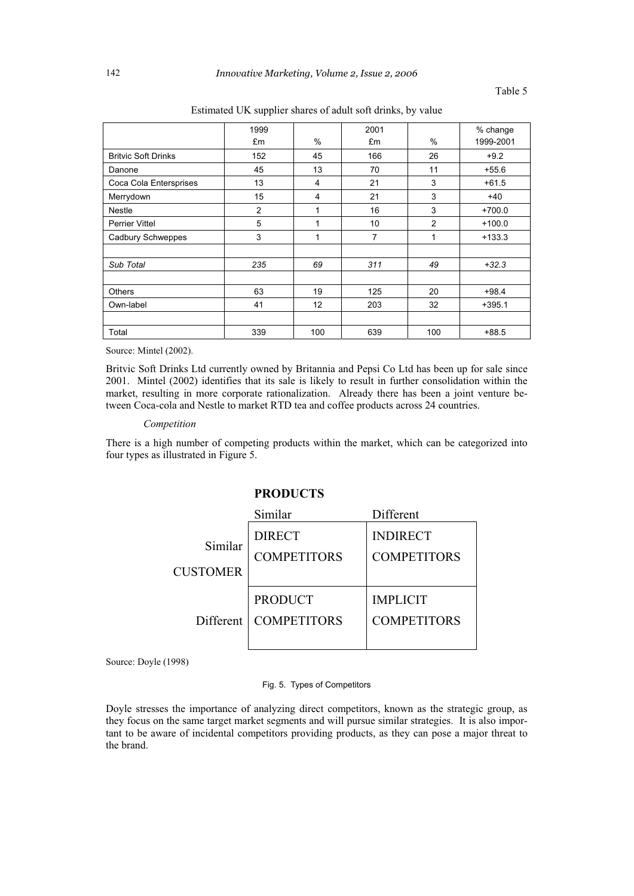|                            | 1999 |     | 2001 |                | % change  |
|----------------------------|------|-----|------|----------------|-----------|
|                            | £m   | %   | £m   | $\%$           | 1999-2001 |
| <b>Britvic Soft Drinks</b> | 152  | 45  | 166  | 26             | $+9.2$    |
| Danone                     | 45   | 13  | 70   | 11             | $+55.6$   |
| Coca Cola Entersprises     | 13   | 4   | 21   | 3              | $+61.5$   |
| Merrydown                  | 15   | 4   | 21   | 3              | $+40$     |
| <b>Nestle</b>              | 2    | 1   | 16   | 3              | $+700.0$  |
| <b>Perrier Vittel</b>      | 5    |     | 10   | $\overline{2}$ | $+100.0$  |
| <b>Cadbury Schweppes</b>   | 3    | 1   | 7    | 1              | $+133.3$  |
|                            |      |     |      |                |           |
| Sub Total                  | 235  | 69  | 311  | 49             | $+32.3$   |
|                            |      |     |      |                |           |
| <b>Others</b>              | 63   | 19  | 125  | 20             | $+98.4$   |
| Own-label                  | 41   | 12  | 203  | 32             | $+395.1$  |
|                            |      |     |      |                |           |
| Total                      | 339  | 100 | 639  | 100            | $+88.5$   |

Estimated UK supplier shares of adult soft drinks, by value

Source: Mintel (2002).

Britvic Soft Drinks Ltd currently owned by Britannia and Pepsi Co Ltd has been up for sale since 2001. Mintel (2002) identifies that its sale is likely to result in further consolidation within the market, resulting in more corporate rationalization. Already there has been a joint venture between Coca-cola and Nestle to market RTD tea and coffee products across 24 countries.

## *Competition*

There is a high number of competing products within the market, which can be categorized into four types as illustrated in Figure 5.

## **PRODUCTS**

|                 | Similar            | Different          |
|-----------------|--------------------|--------------------|
| Similar         | <b>DIRECT</b>      | <b>INDIRECT</b>    |
|                 | <b>COMPETITORS</b> | <b>COMPETITORS</b> |
| <b>CUSTOMER</b> |                    |                    |
|                 | <b>PRODUCT</b>     | <b>IMPLICIT</b>    |
| Different       | <b>COMPETITORS</b> | <b>COMPETITORS</b> |
|                 |                    |                    |

Source: Doyle (1998)

## Fig. 5. Types of Competitors

Doyle stresses the importance of analyzing direct competitors, known as the strategic group, as they focus on the same target market segments and will pursue similar strategies. It is also important to be aware of incidental competitors providing products, as they can pose a major threat to the brand.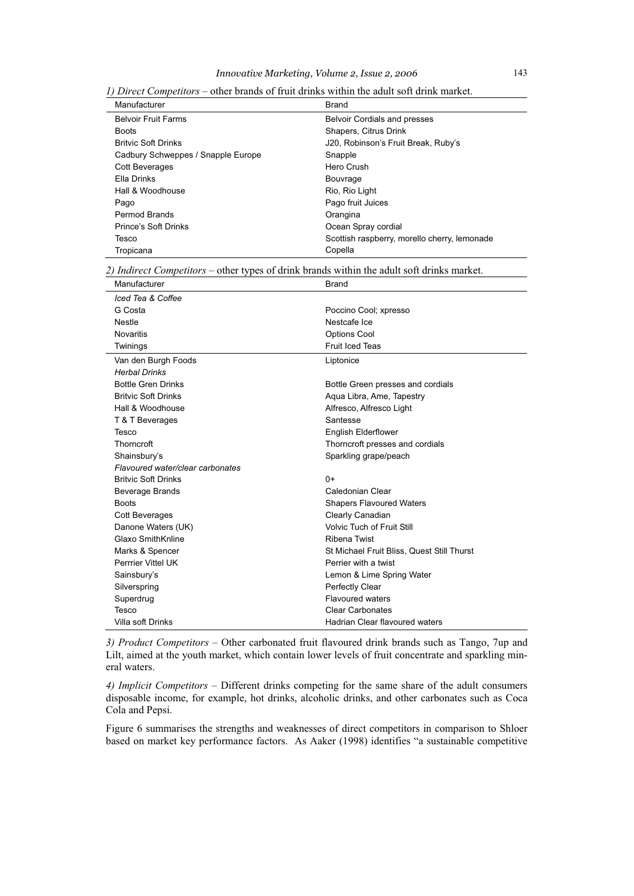| 1) Direct Competitors – other brands of fruit drinks within the adult soft drink market. |
|------------------------------------------------------------------------------------------|
|------------------------------------------------------------------------------------------|

| Manufacturer                       | <b>Brand</b>                                 |
|------------------------------------|----------------------------------------------|
| <b>Belvoir Fruit Farms</b>         | <b>Belvoir Cordials and presses</b>          |
| <b>Boots</b>                       | Shapers, Citrus Drink                        |
| <b>Britvic Soft Drinks</b>         | J20, Robinson's Fruit Break, Ruby's          |
| Cadbury Schweppes / Snapple Europe | Snapple                                      |
| <b>Cott Beverages</b>              | Hero Crush                                   |
| Ella Drinks                        | Bouvrage                                     |
| Hall & Woodhouse                   | Rio, Rio Light                               |
| Pago                               | Pago fruit Juices                            |
| Permod Brands                      | Orangina                                     |
| Prince's Soft Drinks               | Ocean Spray cordial                          |
| Tesco                              | Scottish raspberry, morello cherry, lemonade |
| Tropicana                          | Copella                                      |

*2) Indirect Competitors* – other types of drink brands within the adult soft drinks market.

| Manufacturer                     | <b>Brand</b>                               |
|----------------------------------|--------------------------------------------|
| Iced Tea & Coffee                |                                            |
| G Costa                          | Poccino Cool; xpresso                      |
| <b>Nestle</b>                    | Nestcafe Ice                               |
| <b>Novaritis</b>                 | <b>Options Cool</b>                        |
| Twinings                         | <b>Fruit Iced Teas</b>                     |
| Van den Burgh Foods              | Liptonice                                  |
| <b>Herbal Drinks</b>             |                                            |
| <b>Bottle Gren Drinks</b>        | Bottle Green presses and cordials          |
| <b>Britvic Soft Drinks</b>       | Aqua Libra, Ame, Tapestry                  |
| Hall & Woodhouse                 | Alfresco, Alfresco Light                   |
| T & T Beverages                  | Santesse                                   |
| Tesco                            | <b>English Elderflower</b>                 |
| Thorncroft                       | Thorncroft presses and cordials            |
| Shainsbury's                     | Sparkling grape/peach                      |
| Flavoured water/clear carbonates |                                            |
| <b>Britvic Soft Drinks</b>       | $()+$                                      |
| Beverage Brands                  | Caledonian Clear                           |
| <b>Boots</b>                     | <b>Shapers Flavoured Waters</b>            |
| <b>Cott Beverages</b>            | Clearly Canadian                           |
| Danone Waters (UK)               | <b>Volvic Tuch of Fruit Still</b>          |
| Glaxo SmithKnline                | <b>Ribena Twist</b>                        |
| Marks & Spencer                  | St Michael Fruit Bliss, Quest Still Thurst |
| Perrrier Vittel UK               | Perrier with a twist                       |
| Sainsbury's                      | Lemon & Lime Spring Water                  |
| Silverspring                     | Perfectly Clear                            |
| Superdrug                        | <b>Flavoured waters</b>                    |
| Tesco                            | <b>Clear Carbonates</b>                    |
| Villa soft Drinks                | Hadrian Clear flavoured waters             |

*3) Product Competitors* – Other carbonated fruit flavoured drink brands such as Tango, 7up and Lilt, aimed at the youth market, which contain lower levels of fruit concentrate and sparkling mineral waters.

 $\overline{\phantom{a}}$ 

*4) Implicit Competitors* – Different drinks competing for the same share of the adult consumers disposable income, for example, hot drinks, alcoholic drinks, and other carbonates such as Coca Cola and Pepsi.

Figure 6 summarises the strengths and weaknesses of direct competitors in comparison to Shloer based on market key performance factors. As Aaker (1998) identifies "a sustainable competitive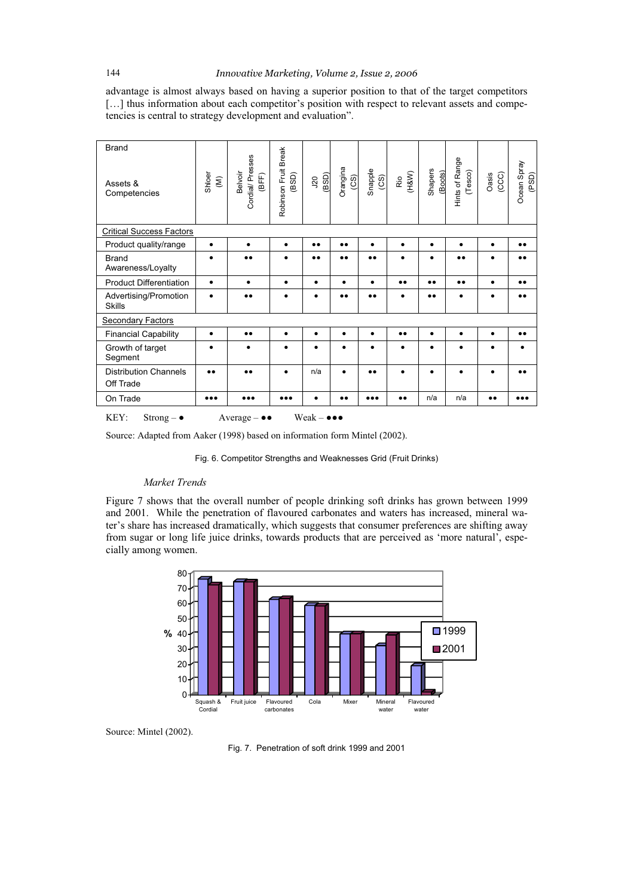advantage is almost always based on having a superior position to that of the target competitors [...] thus information about each competitor's position with respect to relevant assets and competencies is central to strategy development and evaluation".

| <b>Brand</b><br>Assets &<br>Competencies                                                   | Shloer<br>$\widehat{\boldsymbol{\epsilon}}$ | Cordial/ Presses<br>Belvoir<br>(BFF) | Robinson Fruit Break<br>(BSD) | (BSD)<br>$\overline{5}$ | Orangina<br>(CS) | Snapple<br>(CS)  | (H8W)<br>$\tilde{\text{R}}$ | Shapers<br>(Boots) | Hints of Range<br>(Tesco) | (CCC)<br>Oasis   | Ocean Spray<br>(PSD) |
|--------------------------------------------------------------------------------------------|---------------------------------------------|--------------------------------------|-------------------------------|-------------------------|------------------|------------------|-----------------------------|--------------------|---------------------------|------------------|----------------------|
| <b>Critical Success Factors</b>                                                            |                                             |                                      |                               |                         |                  |                  |                             |                    |                           |                  |                      |
| Product quality/range                                                                      | $\bullet$                                   | $\bullet$                            | $\bullet$                     | $\bullet\bullet$        | $\bullet\bullet$ | $\bullet$        | $\bullet$                   | $\bullet$          | $\bullet$                 | $\bullet$        | $\bullet\bullet$     |
| <b>Brand</b><br>Awareness/Loyalty                                                          | $\bullet$                                   | $\bullet$                            |                               | $\bullet\bullet$        | $\bullet$        | $\bullet\bullet$ |                             | $\bullet$          | $\bullet$                 |                  | $\bullet\bullet$     |
| <b>Product Differentiation</b>                                                             | $\bullet$                                   | $\bullet$                            | $\bullet$                     | $\bullet$               | $\bullet$        | $\bullet$        | $\bullet\bullet$            | $\bullet\bullet$   | $\bullet\bullet$          | ٠                | $\bullet\bullet$     |
| Advertising/Promotion<br><b>Skills</b>                                                     | $\bullet$                                   | $\bullet\bullet$                     |                               |                         | $\bullet\bullet$ |                  |                             |                    |                           |                  |                      |
| <b>Secondary Factors</b>                                                                   |                                             |                                      |                               |                         |                  |                  |                             |                    |                           |                  |                      |
| <b>Financial Capability</b>                                                                | $\bullet$                                   | $\bullet\bullet$                     | $\bullet$                     | $\bullet$               | ٠                | $\bullet$        | $\bullet\bullet$            | $\bullet$          | $\bullet$                 | $\bullet$        | $\bullet\bullet$     |
| Growth of target<br>Segment                                                                | $\bullet$                                   | ٠                                    | ٠                             | $\bullet$               | ٠                | $\bullet$        | ٠                           | ٠                  | $\bullet$                 | ٠                |                      |
| <b>Distribution Channels</b><br>Off Trade                                                  | $\bullet\bullet$                            |                                      |                               | n/a                     |                  |                  |                             |                    |                           |                  |                      |
| On Trade                                                                                   |                                             |                                      |                               |                         | $\bullet\bullet$ |                  | $\bullet\bullet$            | n/a                | n/a                       | $\bullet\bullet$ |                      |
| KEY:<br>$Weak - \bullet \bullet \bullet$<br>Strong $ \bullet$<br>Average $-\bullet\bullet$ |                                             |                                      |                               |                         |                  |                  |                             |                    |                           |                  |                      |

Source: Adapted from Aaker (1998) based on information form Mintel (2002).

Fig. 6. Competitor Strengths and Weaknesses Grid (Fruit Drinks)

## *Market Trends*

Figure 7 shows that the overall number of people drinking soft drinks has grown between 1999 and 2001. While the penetration of flavoured carbonates and waters has increased, mineral water's share has increased dramatically, which suggests that consumer preferences are shifting away from sugar or long life juice drinks, towards products that are perceived as 'more natural', especially among women.



Source: Mintel (2002).

Fig. 7. Penetration of soft drink 1999 and 2001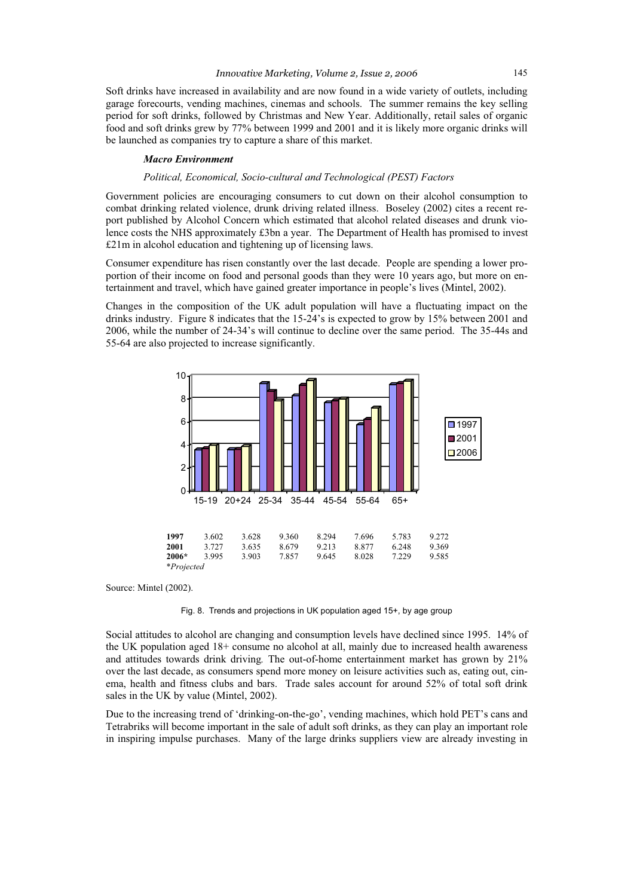Soft drinks have increased in availability and are now found in a wide variety of outlets, including garage forecourts, vending machines, cinemas and schools. The summer remains the key selling period for soft drinks, followed by Christmas and New Year. Additionally, retail sales of organic food and soft drinks grew by 77% between 1999 and 2001 and it is likely more organic drinks will be launched as companies try to capture a share of this market.

#### *Macro Environment*

#### *Political, Economical, Socio-cultural and Technological (PEST) Factors*

Government policies are encouraging consumers to cut down on their alcohol consumption to combat drinking related violence, drunk driving related illness. Boseley (2002) cites a recent report published by Alcohol Concern which estimated that alcohol related diseases and drunk violence costs the NHS approximately £3bn a year. The Department of Health has promised to invest £21m in alcohol education and tightening up of licensing laws.

Consumer expenditure has risen constantly over the last decade. People are spending a lower proportion of their income on food and personal goods than they were 10 years ago, but more on entertainment and travel, which have gained greater importance in people's lives (Mintel, 2002).

Changes in the composition of the UK adult population will have a fluctuating impact on the drinks industry. Figure 8 indicates that the 15-24's is expected to grow by 15% between 2001 and 2006, while the number of 24-34's will continue to decline over the same period. The 35-44s and 55-64 are also projected to increase significantly.



Source: Mintel (2002).

Fig. 8. Trends and projections in UK population aged 15+, by age group

Social attitudes to alcohol are changing and consumption levels have declined since 1995. 14% of the UK population aged 18+ consume no alcohol at all, mainly due to increased health awareness and attitudes towards drink driving*.* The out-of-home entertainment market has grown by 21% over the last decade, as consumers spend more money on leisure activities such as, eating out, cinema, health and fitness clubs and bars. Trade sales account for around 52% of total soft drink sales in the UK by value (Mintel, 2002).

Due to the increasing trend of 'drinking-on-the-go', vending machines, which hold PET's cans and Tetrabriks will become important in the sale of adult soft drinks, as they can play an important role in inspiring impulse purchases. Many of the large drinks suppliers view are already investing in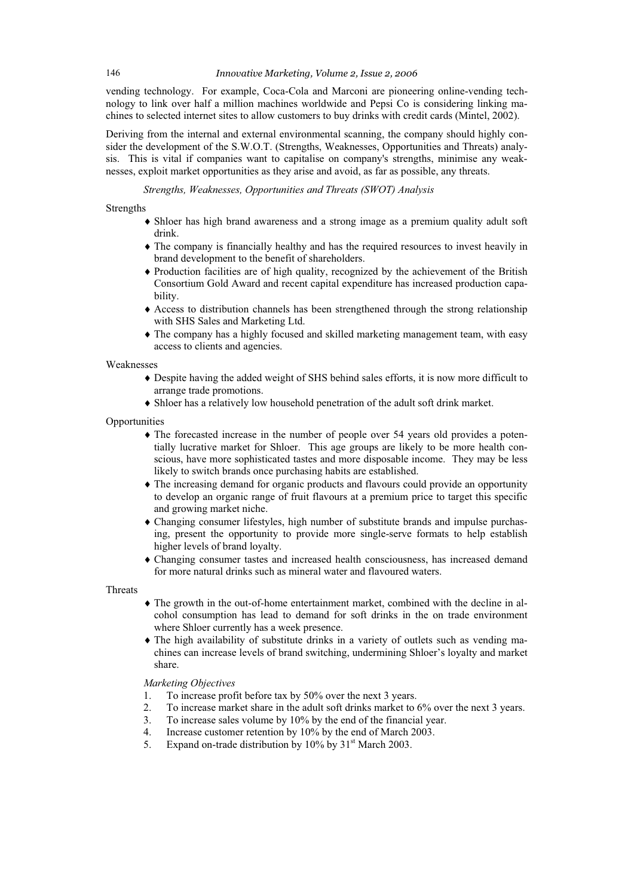#### 146 *Innovative Marketing, Volume 2, Issue 2, 2006*

vending technology. For example, Coca-Cola and Marconi are pioneering online-vending technology to link over half a million machines worldwide and Pepsi Co is considering linking machines to selected internet sites to allow customers to buy drinks with credit cards (Mintel, 2002).

Deriving from the internal and external environmental scanning, the company should highly consider the development of the S.W.O.T. (Strengths, Weaknesses, Opportunities and Threats) analysis. This is vital if companies want to capitalise on company's strengths, minimise any weaknesses, exploit market opportunities as they arise and avoid, as far as possible, any threats.

*Strengths, Weaknesses, Opportunities and Threats (SWOT) Analysis* 

Strengths

- Shloer has high brand awareness and a strong image as a premium quality adult soft drink.
- $\triangle$  The company is financially healthy and has the required resources to invest heavily in brand development to the benefit of shareholders.
- $\triangle$  Production facilities are of high quality, recognized by the achievement of the British Consortium Gold Award and recent capital expenditure has increased production capability.
- $\triangle$  Access to distribution channels has been strengthened through the strong relationship with SHS Sales and Marketing Ltd.
- $\triangle$  The company has a highly focused and skilled marketing management team, with easy access to clients and agencies.

Weaknesses

- i Despite having the added weight of SHS behind sales efforts, it is now more difficult to arrange trade promotions.
- i Shloer has a relatively low household penetration of the adult soft drink market.

**Opportunities** 

- $\triangle$  The forecasted increase in the number of people over 54 years old provides a potentially lucrative market for Shloer. This age groups are likely to be more health conscious, have more sophisticated tastes and more disposable income. They may be less likely to switch brands once purchasing habits are established.
- The increasing demand for organic products and flavours could provide an opportunity to develop an organic range of fruit flavours at a premium price to target this specific and growing market niche.
- i Changing consumer lifestyles, high number of substitute brands and impulse purchasing, present the opportunity to provide more single-serve formats to help establish higher levels of brand loyalty.
- i Changing consumer tastes and increased health consciousness, has increased demand for more natural drinks such as mineral water and flavoured waters.

**Threats** 

- $\triangle$  The growth in the out-of-home entertainment market, combined with the decline in alcohol consumption has lead to demand for soft drinks in the on trade environment where Shloer currently has a week presence.
- $\bullet$  The high availability of substitute drinks in a variety of outlets such as vending machines can increase levels of brand switching, undermining Shloer's loyalty and market share.

*Marketing Objectives* 

- 1. To increase profit before tax by 50% over the next 3 years.
- 2. To increase market share in the adult soft drinks market to 6% over the next 3 years.
- 3. To increase sales volume by 10% by the end of the financial year.
- 4. Increase customer retention by 10% by the end of March 2003.
- 5. Expand on-trade distribution by  $10\%$  by  $31<sup>st</sup>$  March 2003.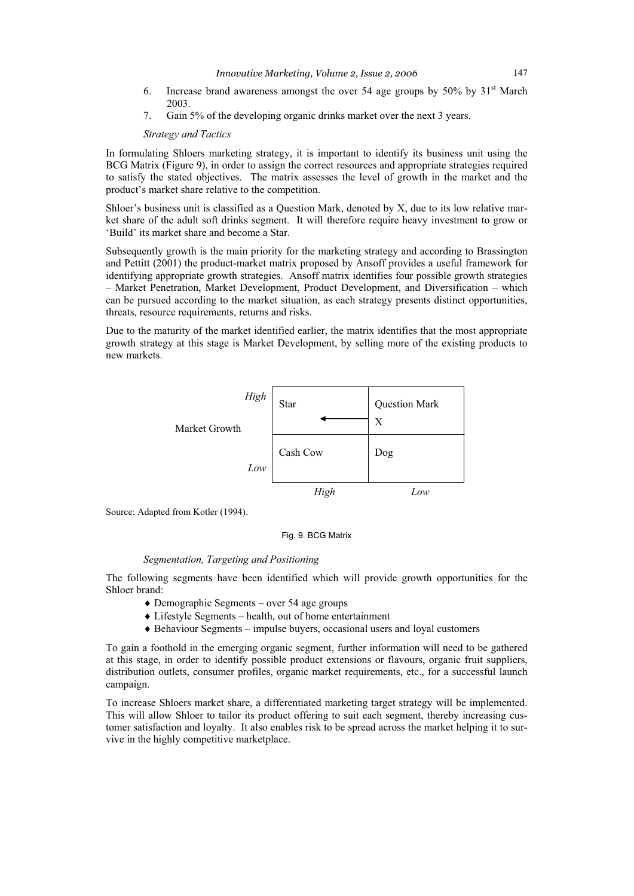- 6. Increase brand awareness amongst the over 54 age groups by  $50\%$  by  $31<sup>st</sup>$  March 2003.
- 7. Gain 5% of the developing organic drinks market over the next 3 years.

## *Strategy and Tactics*

In formulating Shloers marketing strategy, it is important to identify its business unit using the BCG Matrix (Figure 9), in order to assign the correct resources and appropriate strategies required to satisfy the stated objectives. The matrix assesses the level of growth in the market and the product's market share relative to the competition.

Shloer's business unit is classified as a Question Mark, denoted by X, due to its low relative market share of the adult soft drinks segment. It will therefore require heavy investment to grow or 'Build' its market share and become a Star.

Subsequently growth is the main priority for the marketing strategy and according to Brassington and Pettitt (2001) the product-market matrix proposed by Ansoff provides a useful framework for identifying appropriate growth strategies. Ansoff matrix identifies four possible growth strategies – Market Penetration, Market Development, Product Development, and Diversification – which can be pursued according to the market situation, as each strategy presents distinct opportunities, threats, resource requirements, returns and risks.

Due to the maturity of the market identified earlier, the matrix identifies that the most appropriate growth strategy at this stage is Market Development, by selling more of the existing products to new markets.



Source: Adapted from Kotler (1994).

## Fig. 9. BCG Matrix

#### *Segmentation, Targeting and Positioning*

The following segments have been identified which will provide growth opportunities for the Shloer brand:

- $\triangle$  Demographic Segments over 54 age groups
- $\triangle$  Lifestyle Segments health, out of home entertainment
- $\triangle$  Behaviour Segments impulse buyers, occasional users and loyal customers

To gain a foothold in the emerging organic segment, further information will need to be gathered at this stage, in order to identify possible product extensions or flavours, organic fruit suppliers, distribution outlets, consumer profiles, organic market requirements, etc., for a successful launch campaign.

To increase Shloers market share, a differentiated marketing target strategy will be implemented. This will allow Shloer to tailor its product offering to suit each segment, thereby increasing customer satisfaction and loyalty. It also enables risk to be spread across the market helping it to survive in the highly competitive marketplace.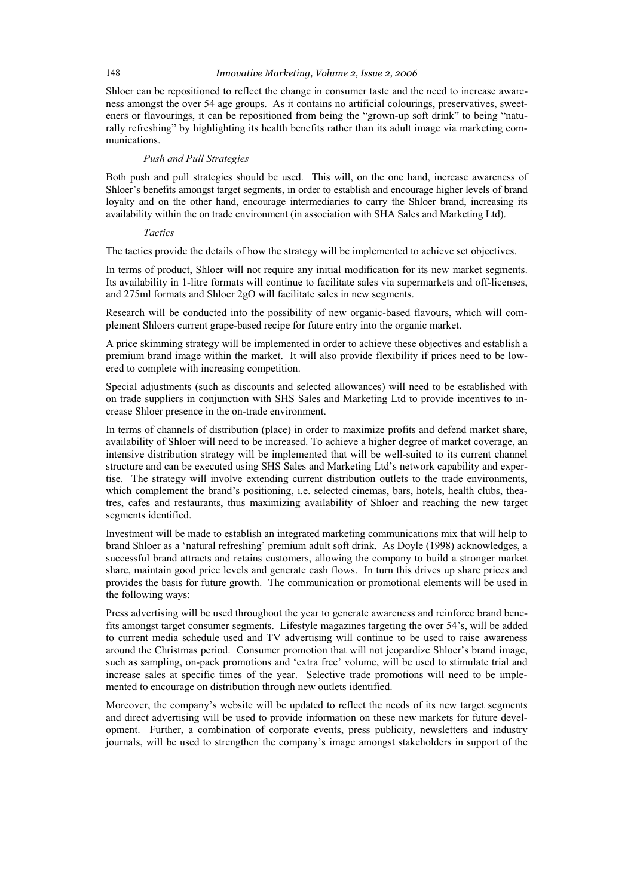### 148 *Innovative Marketing, Volume 2, Issue 2, 2006*

Shloer can be repositioned to reflect the change in consumer taste and the need to increase awareness amongst the over 54 age groups. As it contains no artificial colourings, preservatives, sweeteners or flavourings, it can be repositioned from being the "grown-up soft drink" to being "naturally refreshing" by highlighting its health benefits rather than its adult image via marketing communications.

## *Push and Pull Strategies*

Both push and pull strategies should be used. This will, on the one hand, increase awareness of Shloer's benefits amongst target segments, in order to establish and encourage higher levels of brand loyalty and on the other hand, encourage intermediaries to carry the Shloer brand, increasing its availability within the on trade environment (in association with SHA Sales and Marketing Ltd).

## *Tactics*

The tactics provide the details of how the strategy will be implemented to achieve set objectives.

In terms of product, Shloer will not require any initial modification for its new market segments. Its availability in 1-litre formats will continue to facilitate sales via supermarkets and off-licenses, and 275ml formats and Shloer 2gO will facilitate sales in new segments.

Research will be conducted into the possibility of new organic-based flavours, which will complement Shloers current grape-based recipe for future entry into the organic market.

A price skimming strategy will be implemented in order to achieve these objectives and establish a premium brand image within the market. It will also provide flexibility if prices need to be lowered to complete with increasing competition.

Special adjustments (such as discounts and selected allowances) will need to be established with on trade suppliers in conjunction with SHS Sales and Marketing Ltd to provide incentives to increase Shloer presence in the on-trade environment.

In terms of channels of distribution (place) in order to maximize profits and defend market share, availability of Shloer will need to be increased. To achieve a higher degree of market coverage, an intensive distribution strategy will be implemented that will be well-suited to its current channel structure and can be executed using SHS Sales and Marketing Ltd's network capability and expertise. The strategy will involve extending current distribution outlets to the trade environments, which complement the brand's positioning, i.e. selected cinemas, bars, hotels, health clubs, theatres, cafes and restaurants, thus maximizing availability of Shloer and reaching the new target segments identified.

Investment will be made to establish an integrated marketing communications mix that will help to brand Shloer as a 'natural refreshing' premium adult soft drink. As Doyle (1998) acknowledges, a successful brand attracts and retains customers, allowing the company to build a stronger market share, maintain good price levels and generate cash flows. In turn this drives up share prices and provides the basis for future growth. The communication or promotional elements will be used in the following ways:

Press advertising will be used throughout the year to generate awareness and reinforce brand benefits amongst target consumer segments. Lifestyle magazines targeting the over 54's, will be added to current media schedule used and TV advertising will continue to be used to raise awareness around the Christmas period. Consumer promotion that will not jeopardize Shloer's brand image, such as sampling, on-pack promotions and 'extra free' volume, will be used to stimulate trial and increase sales at specific times of the year. Selective trade promotions will need to be implemented to encourage on distribution through new outlets identified.

Moreover, the company's website will be updated to reflect the needs of its new target segments and direct advertising will be used to provide information on these new markets for future development. Further, a combination of corporate events, press publicity, newsletters and industry journals, will be used to strengthen the company's image amongst stakeholders in support of the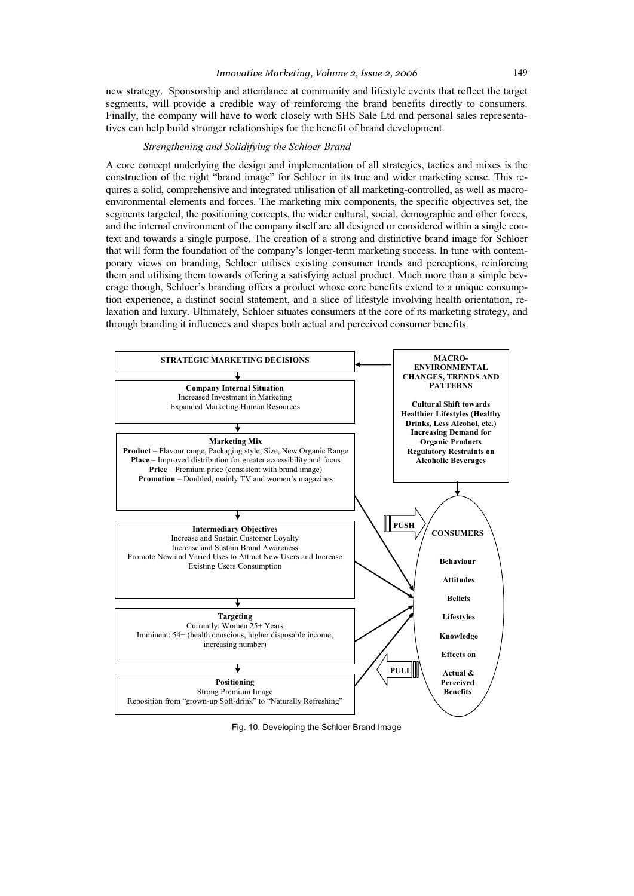new strategy. Sponsorship and attendance at community and lifestyle events that reflect the target segments, will provide a credible way of reinforcing the brand benefits directly to consumers. Finally, the company will have to work closely with SHS Sale Ltd and personal sales representatives can help build stronger relationships for the benefit of brand development.

## *Strengthening and Solidifying the Schloer Brand*

A core concept underlying the design and implementation of all strategies, tactics and mixes is the construction of the right "brand image" for Schloer in its true and wider marketing sense. This requires a solid, comprehensive and integrated utilisation of all marketing-controlled, as well as macroenvironmental elements and forces. The marketing mix components, the specific objectives set, the segments targeted, the positioning concepts, the wider cultural, social, demographic and other forces, and the internal environment of the company itself are all designed or considered within a single context and towards a single purpose. The creation of a strong and distinctive brand image for Schloer that will form the foundation of the company's longer-term marketing success. In tune with contemporary views on branding, Schloer utilises existing consumer trends and perceptions, reinforcing them and utilising them towards offering a satisfying actual product. Much more than a simple beverage though, Schloer's branding offers a product whose core benefits extend to a unique consumption experience, a distinct social statement, and a slice of lifestyle involving health orientation, relaxation and luxury. Ultimately, Schloer situates consumers at the core of its marketing strategy, and through branding it influences and shapes both actual and perceived consumer benefits.



Fig. 10. Developing the Schloer Brand Image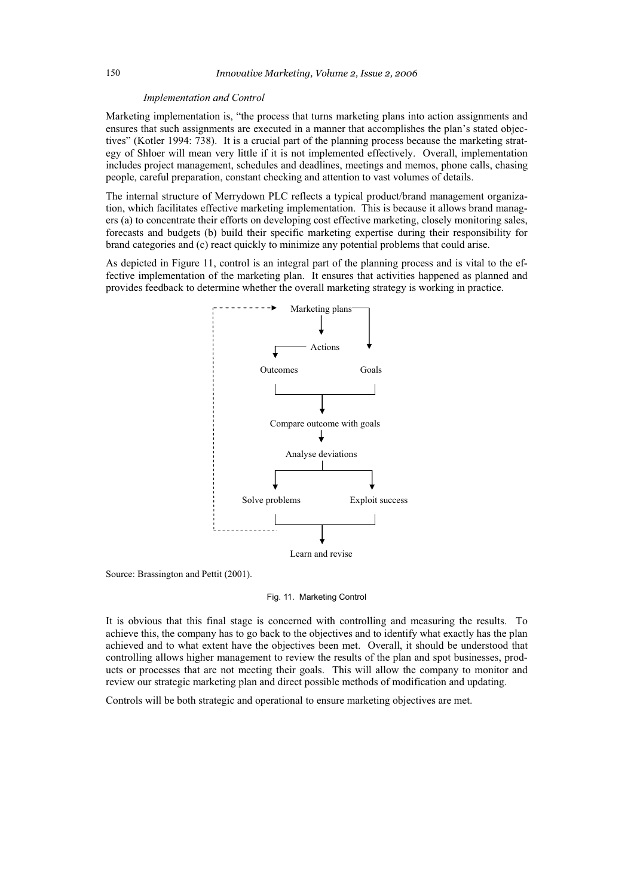#### *Implementation and Control*

Marketing implementation is, "the process that turns marketing plans into action assignments and ensures that such assignments are executed in a manner that accomplishes the plan's stated objectives" (Kotler 1994: 738). It is a crucial part of the planning process because the marketing strategy of Shloer will mean very little if it is not implemented effectively. Overall, implementation includes project management, schedules and deadlines, meetings and memos, phone calls, chasing people, careful preparation, constant checking and attention to vast volumes of details.

The internal structure of Merrydown PLC reflects a typical product/brand management organization, which facilitates effective marketing implementation. This is because it allows brand managers (a) to concentrate their efforts on developing cost effective marketing, closely monitoring sales, forecasts and budgets (b) build their specific marketing expertise during their responsibility for brand categories and (c) react quickly to minimize any potential problems that could arise.

As depicted in Figure 11, control is an integral part of the planning process and is vital to the effective implementation of the marketing plan. It ensures that activities happened as planned and provides feedback to determine whether the overall marketing strategy is working in practice.



Source: Brassington and Pettit (2001).

#### Fig. 11. Marketing Control

It is obvious that this final stage is concerned with controlling and measuring the results. To achieve this, the company has to go back to the objectives and to identify what exactly has the plan achieved and to what extent have the objectives been met. Overall, it should be understood that controlling allows higher management to review the results of the plan and spot businesses, products or processes that are not meeting their goals. This will allow the company to monitor and review our strategic marketing plan and direct possible methods of modification and updating.

Controls will be both strategic and operational to ensure marketing objectives are met.